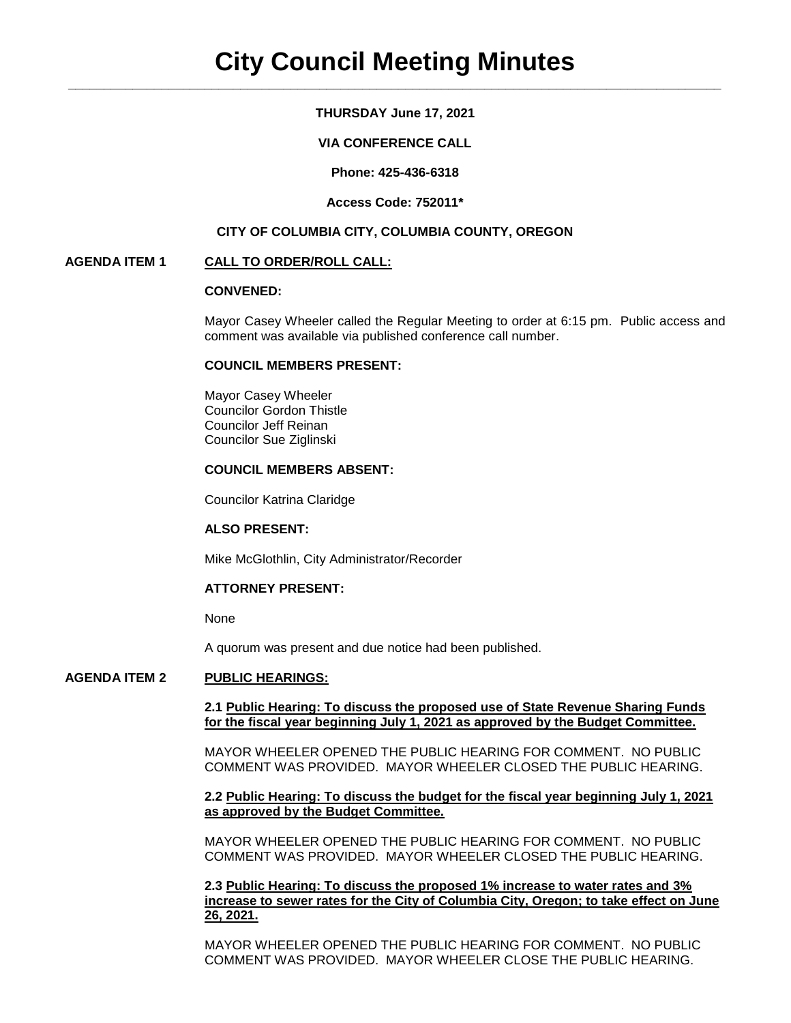## **THURSDAY June 17, 2021**

## **VIA CONFERENCE CALL**

**Phone: 425-436-6318**

### **Access Code: 752011\***

## **CITY OF COLUMBIA CITY, COLUMBIA COUNTY, OREGON**

## **AGENDA ITEM 1 CALL TO ORDER/ROLL CALL:**

## **CONVENED:**

Mayor Casey Wheeler called the Regular Meeting to order at 6:15 pm. Public access and comment was available via published conference call number.

#### **COUNCIL MEMBERS PRESENT:**

Mayor Casey Wheeler Councilor Gordon Thistle Councilor Jeff Reinan Councilor Sue Ziglinski

## **COUNCIL MEMBERS ABSENT:**

Councilor Katrina Claridge

## **ALSO PRESENT:**

Mike McGlothlin, City Administrator/Recorder

## **ATTORNEY PRESENT:**

None

A quorum was present and due notice had been published.

## **AGENDA ITEM 2 PUBLIC HEARINGS:**

## **2.1 Public Hearing: To discuss the proposed use of State Revenue Sharing Funds for the fiscal year beginning July 1, 2021 as approved by the Budget Committee.**

MAYOR WHEELER OPENED THE PUBLIC HEARING FOR COMMENT. NO PUBLIC COMMENT WAS PROVIDED. MAYOR WHEELER CLOSED THE PUBLIC HEARING.

#### **2.2 Public Hearing: To discuss the budget for the fiscal year beginning July 1, 2021 as approved by the Budget Committee.**

MAYOR WHEELER OPENED THE PUBLIC HEARING FOR COMMENT. NO PUBLIC COMMENT WAS PROVIDED. MAYOR WHEELER CLOSED THE PUBLIC HEARING.

**2.3 Public Hearing: To discuss the proposed 1% increase to water rates and 3% increase to sewer rates for the City of Columbia City, Oregon; to take effect on June 26, 2021.**

MAYOR WHEELER OPENED THE PUBLIC HEARING FOR COMMENT. NO PUBLIC COMMENT WAS PROVIDED. MAYOR WHEELER CLOSE THE PUBLIC HEARING.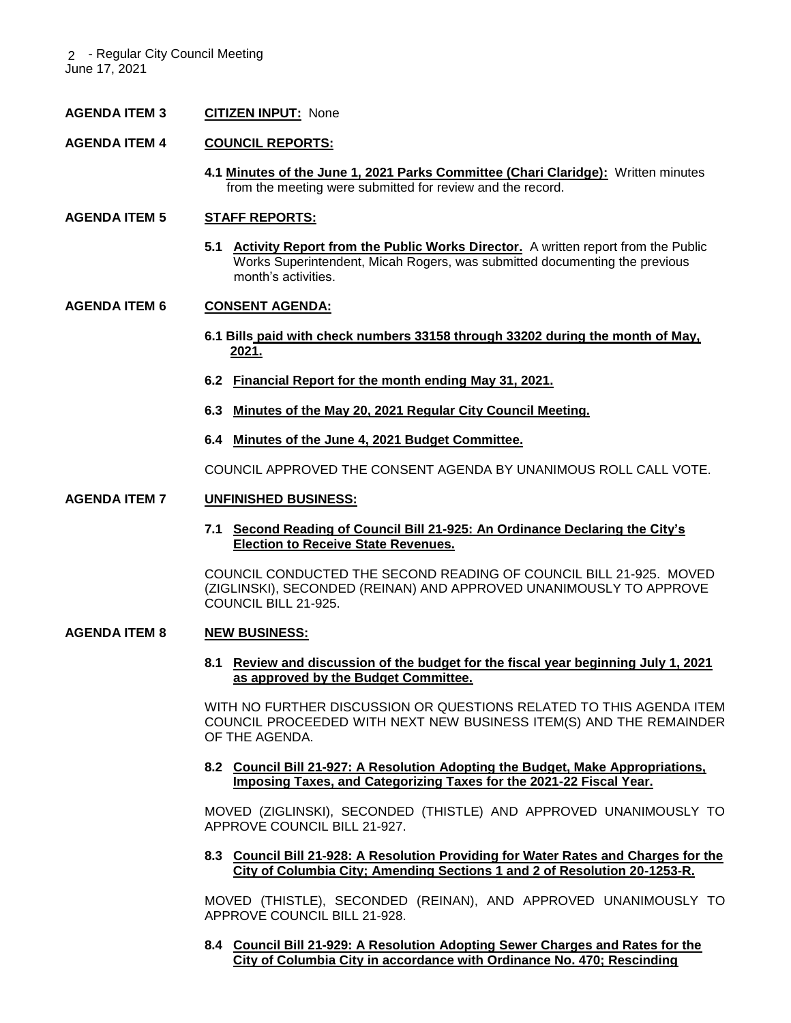2 - Regular City Council Meeting June 17, 2021

## **AGENDA ITEM 3 CITIZEN INPUT:** None

## **AGENDA ITEM 4 COUNCIL REPORTS:**

**4.1 Minutes of the June 1, 2021 Parks Committee (Chari Claridge):** Written minutes from the meeting were submitted for review and the record.

## **AGENDA ITEM 5 STAFF REPORTS:**

**5.1 Activity Report from the Public Works Director.** A written report from the Public Works Superintendent, Micah Rogers, was submitted documenting the previous month's activities.

## **AGENDA ITEM 6 CONSENT AGENDA:**

- **6.1 Bills paid with check numbers 33158 through 33202 during the month of May, 2021.**
- **6.2 Financial Report for the month ending May 31, 2021.**
- **6.3 Minutes of the May 20, 2021 Regular City Council Meeting.**
- **6.4 Minutes of the June 4, 2021 Budget Committee.**

COUNCIL APPROVED THE CONSENT AGENDA BY UNANIMOUS ROLL CALL VOTE.

#### **AGENDA ITEM 7 UNFINISHED BUSINESS:**

**7.1 Second Reading of Council Bill 21-925: An Ordinance Declaring the City's Election to Receive State Revenues.** 

COUNCIL CONDUCTED THE SECOND READING OF COUNCIL BILL 21-925. MOVED (ZIGLINSKI), SECONDED (REINAN) AND APPROVED UNANIMOUSLY TO APPROVE COUNCIL BILL 21-925.

## **AGENDA ITEM 8 NEW BUSINESS:**

**8.1 Review and discussion of the budget for the fiscal year beginning July 1, 2021 as approved by the Budget Committee.** 

WITH NO FURTHER DISCUSSION OR QUESTIONS RELATED TO THIS AGENDA ITEM COUNCIL PROCEEDED WITH NEXT NEW BUSINESS ITEM(S) AND THE REMAINDER OF THE AGENDA.

**8.2 Council Bill 21-927: A Resolution Adopting the Budget, Make Appropriations, Imposing Taxes, and Categorizing Taxes for the 2021-22 Fiscal Year.**

MOVED (ZIGLINSKI), SECONDED (THISTLE) AND APPROVED UNANIMOUSLY TO APPROVE COUNCIL BILL 21-927.

**8.3 Council Bill 21-928: A Resolution Providing for Water Rates and Charges for the City of Columbia City; Amending Sections 1 and 2 of Resolution 20-1253-R.**

MOVED (THISTLE), SECONDED (REINAN), AND APPROVED UNANIMOUSLY TO APPROVE COUNCIL BILL 21-928.

**8.4 Council Bill 21-929: A Resolution Adopting Sewer Charges and Rates for the City of Columbia City in accordance with Ordinance No. 470; Rescinding**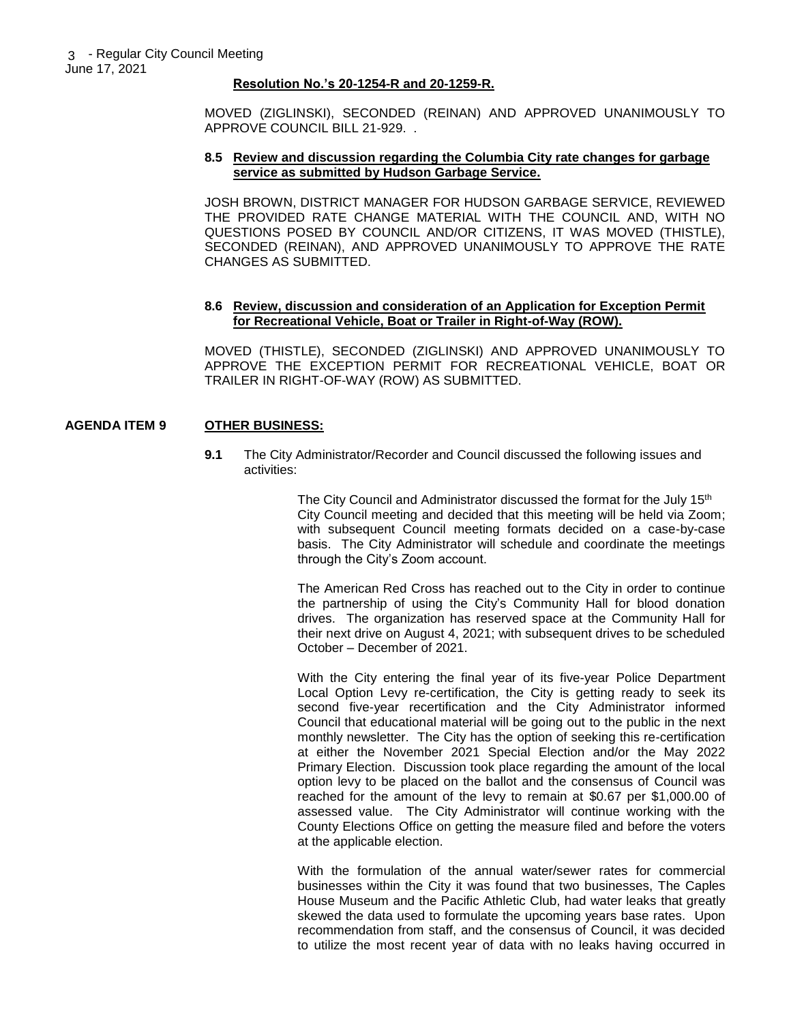#### **Resolution No.'s 20-1254-R and 20-1259-R.**

MOVED (ZIGLINSKI), SECONDED (REINAN) AND APPROVED UNANIMOUSLY TO APPROVE COUNCIL BILL 21-929. .

#### **8.5 Review and discussion regarding the Columbia City rate changes for garbage service as submitted by Hudson Garbage Service.**

JOSH BROWN, DISTRICT MANAGER FOR HUDSON GARBAGE SERVICE, REVIEWED THE PROVIDED RATE CHANGE MATERIAL WITH THE COUNCIL AND, WITH NO QUESTIONS POSED BY COUNCIL AND/OR CITIZENS, IT WAS MOVED (THISTLE), SECONDED (REINAN), AND APPROVED UNANIMOUSLY TO APPROVE THE RATE CHANGES AS SUBMITTED.

## **8.6 Review, discussion and consideration of an Application for Exception Permit for Recreational Vehicle, Boat or Trailer in Right-of-Way (ROW).**

MOVED (THISTLE), SECONDED (ZIGLINSKI) AND APPROVED UNANIMOUSLY TO APPROVE THE EXCEPTION PERMIT FOR RECREATIONAL VEHICLE, BOAT OR TRAILER IN RIGHT-OF-WAY (ROW) AS SUBMITTED.

## **AGENDA ITEM 9 OTHER BUSINESS:**

**9.1** The City Administrator/Recorder and Council discussed the following issues and activities:

> The City Council and Administrator discussed the format for the July 15<sup>th</sup> City Council meeting and decided that this meeting will be held via Zoom; with subsequent Council meeting formats decided on a case-by-case basis. The City Administrator will schedule and coordinate the meetings through the City's Zoom account.

> The American Red Cross has reached out to the City in order to continue the partnership of using the City's Community Hall for blood donation drives. The organization has reserved space at the Community Hall for their next drive on August 4, 2021; with subsequent drives to be scheduled October – December of 2021.

> With the City entering the final year of its five-year Police Department Local Option Levy re-certification, the City is getting ready to seek its second five-year recertification and the City Administrator informed Council that educational material will be going out to the public in the next monthly newsletter. The City has the option of seeking this re-certification at either the November 2021 Special Election and/or the May 2022 Primary Election. Discussion took place regarding the amount of the local option levy to be placed on the ballot and the consensus of Council was reached for the amount of the levy to remain at \$0.67 per \$1,000.00 of assessed value. The City Administrator will continue working with the County Elections Office on getting the measure filed and before the voters at the applicable election.

> With the formulation of the annual water/sewer rates for commercial businesses within the City it was found that two businesses, The Caples House Museum and the Pacific Athletic Club, had water leaks that greatly skewed the data used to formulate the upcoming years base rates. Upon recommendation from staff, and the consensus of Council, it was decided to utilize the most recent year of data with no leaks having occurred in